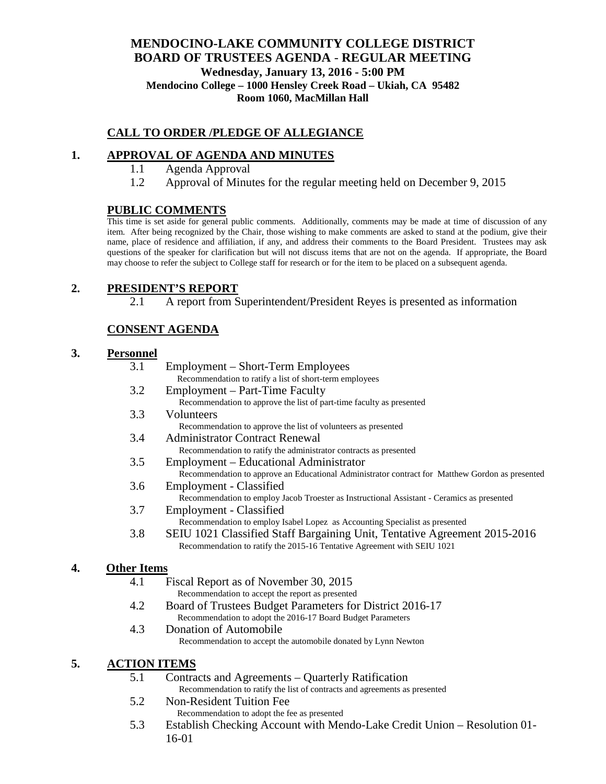### **MENDOCINO-LAKE COMMUNITY COLLEGE DISTRICT BOARD OF TRUSTEES AGENDA** - **REGULAR MEETING Wednesday, January 13, 2016 - 5:00 PM Mendocino College – 1000 Hensley Creek Road – Ukiah, CA 95482 Room 1060, MacMillan Hall**

## **CALL TO ORDER /PLEDGE OF ALLEGIANCE**

## **1. APPROVAL OF AGENDA AND MINUTES**

- 1.1 Agenda Approval
- 1.2 Approval of Minutes for the regular meeting held on December 9, 2015

#### **PUBLIC COMMENTS**

This time is set aside for general public comments. Additionally, comments may be made at time of discussion of any item. After being recognized by the Chair, those wishing to make comments are asked to stand at the podium, give their name, place of residence and affiliation, if any, and address their comments to the Board President. Trustees may ask questions of the speaker for clarification but will not discuss items that are not on the agenda. If appropriate, the Board may choose to refer the subject to College staff for research or for the item to be placed on a subsequent agenda.

### **2. PRESIDENT'S REPORT**

2.1 A report from Superintendent/President Reyes is presented as information

# **CONSENT AGENDA**

#### **3. Personnel**

| 3.1 | Employment – Short-Term Employees                                                               |
|-----|-------------------------------------------------------------------------------------------------|
|     | Recommendation to ratify a list of short-term employees                                         |
| 3.2 | Employment – Part-Time Faculty                                                                  |
|     | Recommendation to approve the list of part-time faculty as presented                            |
| 3.3 | Volunteers                                                                                      |
|     | Recommendation to approve the list of volunteers as presented                                   |
| 3.4 | <b>Administrator Contract Renewal</b>                                                           |
|     | Recommendation to ratify the administrator contracts as presented                               |
| 3.5 | Employment – Educational Administrator                                                          |
|     | Recommendation to approve an Educational Administrator contract for Matthew Gordon as presented |
| 3.6 | Employment - Classified                                                                         |
|     | Recommendation to employ Jacob Troester as Instructional Assistant - Ceramics as presented      |
| 3.7 | Employment - Classified                                                                         |
|     |                                                                                                 |

- Recommendation to employ Isabel Lopez as Accounting Specialist as presented
- 3.8 SEIU 1021 Classified Staff Bargaining Unit, Tentative Agreement 2015-2016 Recommendation to ratify the 2015-16 Tentative Agreement with SEIU 1021

#### **4. Other Items**

- 4.1 Fiscal Report as of November 30, 2015
	- Recommendation to accept the report as presented
- 4.2 Board of Trustees Budget Parameters for District 2016-17 Recommendation to adopt the 2016-17 Board Budget Parameters
- 4.3 Donation of Automobile Recommendation to accept the automobile donated by Lynn Newton

#### **5. ACTION ITEMS**

- 5.1 Contracts and Agreements Quarterly Ratification Recommendation to ratify the list of contracts and agreements as presented
- 5.2 Non-Resident Tuition Fee Recommendation to adopt the fee as presented
- 5.3 Establish Checking Account with Mendo-Lake Credit Union Resolution 01- 16-01